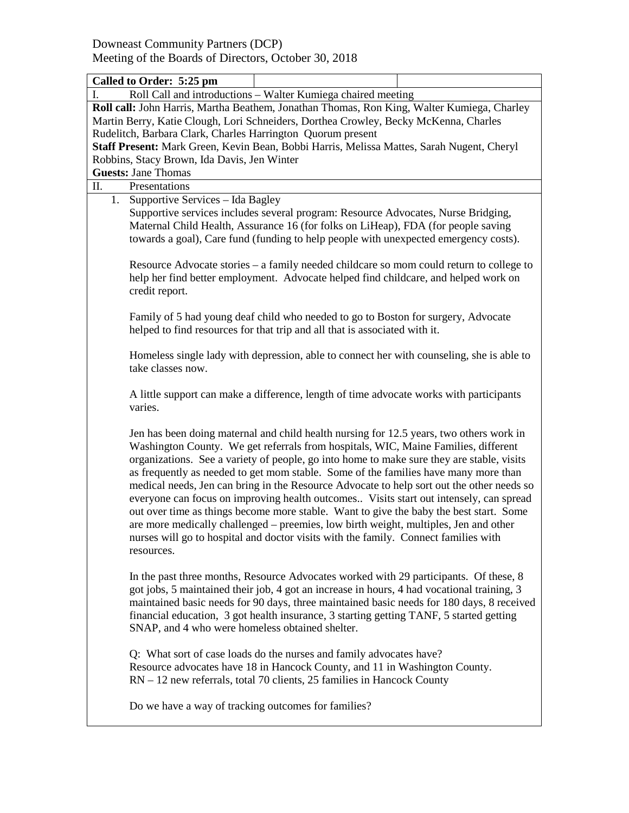|                                                                                                                                                                                    | Called to Order: 5:25 pm                                                                                                                                                                                                                                       |                                                                                                                                                                                                                                                                                                                                                                                                                                                                                                                                                                                                                                                                                                                                                                                                                                   |  |  |  |  |
|------------------------------------------------------------------------------------------------------------------------------------------------------------------------------------|----------------------------------------------------------------------------------------------------------------------------------------------------------------------------------------------------------------------------------------------------------------|-----------------------------------------------------------------------------------------------------------------------------------------------------------------------------------------------------------------------------------------------------------------------------------------------------------------------------------------------------------------------------------------------------------------------------------------------------------------------------------------------------------------------------------------------------------------------------------------------------------------------------------------------------------------------------------------------------------------------------------------------------------------------------------------------------------------------------------|--|--|--|--|
| I.                                                                                                                                                                                 |                                                                                                                                                                                                                                                                | Roll Call and introductions - Walter Kumiega chaired meeting                                                                                                                                                                                                                                                                                                                                                                                                                                                                                                                                                                                                                                                                                                                                                                      |  |  |  |  |
| Roll call: John Harris, Martha Beathem, Jonathan Thomas, Ron King, Walter Kumiega, Charley<br>Martin Berry, Katie Clough, Lori Schneiders, Dorthea Crowley, Becky McKenna, Charles |                                                                                                                                                                                                                                                                |                                                                                                                                                                                                                                                                                                                                                                                                                                                                                                                                                                                                                                                                                                                                                                                                                                   |  |  |  |  |
|                                                                                                                                                                                    | Rudelitch, Barbara Clark, Charles Harrington Quorum present                                                                                                                                                                                                    |                                                                                                                                                                                                                                                                                                                                                                                                                                                                                                                                                                                                                                                                                                                                                                                                                                   |  |  |  |  |
|                                                                                                                                                                                    | Staff Present: Mark Green, Kevin Bean, Bobbi Harris, Melissa Mattes, Sarah Nugent, Cheryl                                                                                                                                                                      |                                                                                                                                                                                                                                                                                                                                                                                                                                                                                                                                                                                                                                                                                                                                                                                                                                   |  |  |  |  |
|                                                                                                                                                                                    | Robbins, Stacy Brown, Ida Davis, Jen Winter                                                                                                                                                                                                                    |                                                                                                                                                                                                                                                                                                                                                                                                                                                                                                                                                                                                                                                                                                                                                                                                                                   |  |  |  |  |
|                                                                                                                                                                                    | <b>Guests: Jane Thomas</b>                                                                                                                                                                                                                                     |                                                                                                                                                                                                                                                                                                                                                                                                                                                                                                                                                                                                                                                                                                                                                                                                                                   |  |  |  |  |
| Π.<br>Presentations                                                                                                                                                                |                                                                                                                                                                                                                                                                |                                                                                                                                                                                                                                                                                                                                                                                                                                                                                                                                                                                                                                                                                                                                                                                                                                   |  |  |  |  |
| 1.                                                                                                                                                                                 | Supportive Services - Ida Bagley                                                                                                                                                                                                                               |                                                                                                                                                                                                                                                                                                                                                                                                                                                                                                                                                                                                                                                                                                                                                                                                                                   |  |  |  |  |
|                                                                                                                                                                                    | Supportive services includes several program: Resource Advocates, Nurse Bridging,<br>Maternal Child Health, Assurance 16 (for folks on LiHeap), FDA (for people saving<br>towards a goal), Care fund (funding to help people with unexpected emergency costs). |                                                                                                                                                                                                                                                                                                                                                                                                                                                                                                                                                                                                                                                                                                                                                                                                                                   |  |  |  |  |
|                                                                                                                                                                                    | Resource Advocate stories – a family needed childcare so mom could return to college to<br>help her find better employment. Advocate helped find childcare, and helped work on<br>credit report.                                                               |                                                                                                                                                                                                                                                                                                                                                                                                                                                                                                                                                                                                                                                                                                                                                                                                                                   |  |  |  |  |
|                                                                                                                                                                                    | Family of 5 had young deaf child who needed to go to Boston for surgery, Advocate<br>helped to find resources for that trip and all that is associated with it.                                                                                                |                                                                                                                                                                                                                                                                                                                                                                                                                                                                                                                                                                                                                                                                                                                                                                                                                                   |  |  |  |  |
|                                                                                                                                                                                    | Homeless single lady with depression, able to connect her with counseling, she is able to<br>take classes now.                                                                                                                                                 |                                                                                                                                                                                                                                                                                                                                                                                                                                                                                                                                                                                                                                                                                                                                                                                                                                   |  |  |  |  |
|                                                                                                                                                                                    | A little support can make a difference, length of time advocate works with participants<br>varies.                                                                                                                                                             |                                                                                                                                                                                                                                                                                                                                                                                                                                                                                                                                                                                                                                                                                                                                                                                                                                   |  |  |  |  |
|                                                                                                                                                                                    | resources.                                                                                                                                                                                                                                                     | Jen has been doing maternal and child health nursing for 12.5 years, two others work in<br>Washington County. We get referrals from hospitals, WIC, Maine Families, different<br>organizations. See a variety of people, go into home to make sure they are stable, visits<br>as frequently as needed to get mom stable. Some of the families have many more than<br>medical needs, Jen can bring in the Resource Advocate to help sort out the other needs so<br>everyone can focus on improving health outcomes Visits start out intensely, can spread<br>out over time as things become more stable. Want to give the baby the best start. Some<br>are more medically challenged - preemies, low birth weight, multiples, Jen and other<br>nurses will go to hospital and doctor visits with the family. Connect families with |  |  |  |  |
|                                                                                                                                                                                    |                                                                                                                                                                                                                                                                | In the past three months, Resource Advocates worked with 29 participants. Of these, 8<br>got jobs, 5 maintained their job, 4 got an increase in hours, 4 had vocational training, 3<br>maintained basic needs for 90 days, three maintained basic needs for 180 days, 8 received<br>financial education, 3 got health insurance, 3 starting getting TANF, 5 started getting<br>SNAP, and 4 who were homeless obtained shelter.                                                                                                                                                                                                                                                                                                                                                                                                    |  |  |  |  |
|                                                                                                                                                                                    |                                                                                                                                                                                                                                                                | Q: What sort of case loads do the nurses and family advocates have?<br>Resource advocates have 18 in Hancock County, and 11 in Washington County.<br>RN - 12 new referrals, total 70 clients, 25 families in Hancock County                                                                                                                                                                                                                                                                                                                                                                                                                                                                                                                                                                                                       |  |  |  |  |
|                                                                                                                                                                                    | Do we have a way of tracking outcomes for families?                                                                                                                                                                                                            |                                                                                                                                                                                                                                                                                                                                                                                                                                                                                                                                                                                                                                                                                                                                                                                                                                   |  |  |  |  |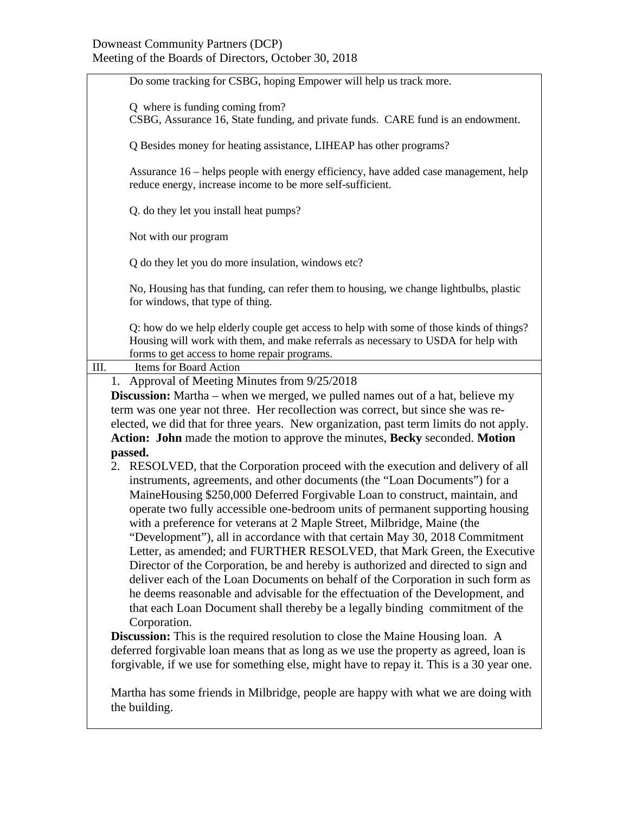## Downeast Community Partners (DCP) Meeting of the Boards of Directors, October 30, 2018

| Do some tracking for CSBG, hoping Empower will help us track more.                                                                                                                                                                                                                                                                                                                                                                                                                                                                                                                                                                                                                                                                                                                                                                                                                                                                                                                                                                                                                                                                                                                                           |  |  |  |  |
|--------------------------------------------------------------------------------------------------------------------------------------------------------------------------------------------------------------------------------------------------------------------------------------------------------------------------------------------------------------------------------------------------------------------------------------------------------------------------------------------------------------------------------------------------------------------------------------------------------------------------------------------------------------------------------------------------------------------------------------------------------------------------------------------------------------------------------------------------------------------------------------------------------------------------------------------------------------------------------------------------------------------------------------------------------------------------------------------------------------------------------------------------------------------------------------------------------------|--|--|--|--|
|                                                                                                                                                                                                                                                                                                                                                                                                                                                                                                                                                                                                                                                                                                                                                                                                                                                                                                                                                                                                                                                                                                                                                                                                              |  |  |  |  |
| Q where is funding coming from?<br>CSBG, Assurance 16, State funding, and private funds. CARE fund is an endowment.                                                                                                                                                                                                                                                                                                                                                                                                                                                                                                                                                                                                                                                                                                                                                                                                                                                                                                                                                                                                                                                                                          |  |  |  |  |
| Q Besides money for heating assistance, LIHEAP has other programs?                                                                                                                                                                                                                                                                                                                                                                                                                                                                                                                                                                                                                                                                                                                                                                                                                                                                                                                                                                                                                                                                                                                                           |  |  |  |  |
| Assurance 16 – helps people with energy efficiency, have added case management, help<br>reduce energy, increase income to be more self-sufficient.                                                                                                                                                                                                                                                                                                                                                                                                                                                                                                                                                                                                                                                                                                                                                                                                                                                                                                                                                                                                                                                           |  |  |  |  |
| Q. do they let you install heat pumps?                                                                                                                                                                                                                                                                                                                                                                                                                                                                                                                                                                                                                                                                                                                                                                                                                                                                                                                                                                                                                                                                                                                                                                       |  |  |  |  |
| Not with our program                                                                                                                                                                                                                                                                                                                                                                                                                                                                                                                                                                                                                                                                                                                                                                                                                                                                                                                                                                                                                                                                                                                                                                                         |  |  |  |  |
| Q do they let you do more insulation, windows etc?                                                                                                                                                                                                                                                                                                                                                                                                                                                                                                                                                                                                                                                                                                                                                                                                                                                                                                                                                                                                                                                                                                                                                           |  |  |  |  |
| No, Housing has that funding, can refer them to housing, we change lightbulbs, plastic<br>for windows, that type of thing.                                                                                                                                                                                                                                                                                                                                                                                                                                                                                                                                                                                                                                                                                                                                                                                                                                                                                                                                                                                                                                                                                   |  |  |  |  |
| Q: how do we help elderly couple get access to help with some of those kinds of things?<br>Housing will work with them, and make referrals as necessary to USDA for help with<br>forms to get access to home repair programs.                                                                                                                                                                                                                                                                                                                                                                                                                                                                                                                                                                                                                                                                                                                                                                                                                                                                                                                                                                                |  |  |  |  |
| Items for Board Action<br>III.                                                                                                                                                                                                                                                                                                                                                                                                                                                                                                                                                                                                                                                                                                                                                                                                                                                                                                                                                                                                                                                                                                                                                                               |  |  |  |  |
| 1. Approval of Meeting Minutes from 9/25/2018                                                                                                                                                                                                                                                                                                                                                                                                                                                                                                                                                                                                                                                                                                                                                                                                                                                                                                                                                                                                                                                                                                                                                                |  |  |  |  |
| <b>Discussion:</b> Martha – when we merged, we pulled names out of a hat, believe my                                                                                                                                                                                                                                                                                                                                                                                                                                                                                                                                                                                                                                                                                                                                                                                                                                                                                                                                                                                                                                                                                                                         |  |  |  |  |
| term was one year not three. Her recollection was correct, but since she was re-                                                                                                                                                                                                                                                                                                                                                                                                                                                                                                                                                                                                                                                                                                                                                                                                                                                                                                                                                                                                                                                                                                                             |  |  |  |  |
| elected, we did that for three years. New organization, past term limits do not apply.                                                                                                                                                                                                                                                                                                                                                                                                                                                                                                                                                                                                                                                                                                                                                                                                                                                                                                                                                                                                                                                                                                                       |  |  |  |  |
| Action: John made the motion to approve the minutes, Becky seconded. Motion                                                                                                                                                                                                                                                                                                                                                                                                                                                                                                                                                                                                                                                                                                                                                                                                                                                                                                                                                                                                                                                                                                                                  |  |  |  |  |
| passed.                                                                                                                                                                                                                                                                                                                                                                                                                                                                                                                                                                                                                                                                                                                                                                                                                                                                                                                                                                                                                                                                                                                                                                                                      |  |  |  |  |
| 2. RESOLVED, that the Corporation proceed with the execution and delivery of all<br>instruments, agreements, and other documents (the "Loan Documents") for a<br>MaineHousing \$250,000 Deferred Forgivable Loan to construct, maintain, and<br>operate two fully accessible one-bedroom units of permanent supporting housing<br>with a preference for veterans at 2 Maple Street, Milbridge, Maine (the<br>"Development"), all in accordance with that certain May 30, 2018 Commitment<br>Letter, as amended; and FURTHER RESOLVED, that Mark Green, the Executive<br>Director of the Corporation, be and hereby is authorized and directed to sign and<br>deliver each of the Loan Documents on behalf of the Corporation in such form as<br>he deems reasonable and advisable for the effectuation of the Development, and<br>that each Loan Document shall thereby be a legally binding commitment of the<br>Corporation.<br><b>Discussion:</b> This is the required resolution to close the Maine Housing loan. A<br>deferred forgivable loan means that as long as we use the property as agreed, loan is<br>forgivable, if we use for something else, might have to repay it. This is a 30 year one. |  |  |  |  |
| Martha has some friends in Milbridge, people are happy with what we are doing with<br>the building.                                                                                                                                                                                                                                                                                                                                                                                                                                                                                                                                                                                                                                                                                                                                                                                                                                                                                                                                                                                                                                                                                                          |  |  |  |  |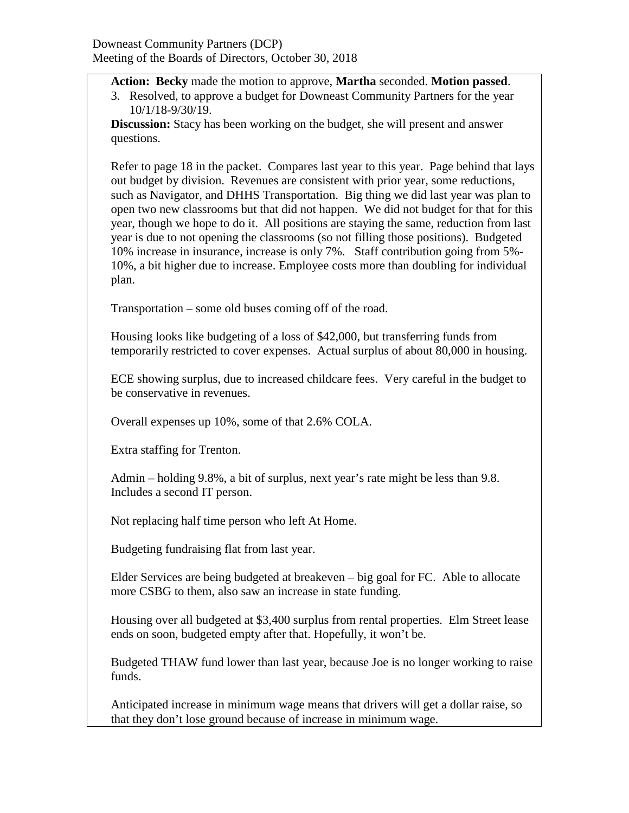**Action: Becky** made the motion to approve, **Martha** seconded. **Motion passed**.

3. Resolved, to approve a budget for Downeast Community Partners for the year 10/1/18-9/30/19.

**Discussion:** Stacy has been working on the budget, she will present and answer questions.

Refer to page 18 in the packet. Compares last year to this year. Page behind that lays out budget by division. Revenues are consistent with prior year, some reductions, such as Navigator, and DHHS Transportation. Big thing we did last year was plan to open two new classrooms but that did not happen. We did not budget for that for this year, though we hope to do it. All positions are staying the same, reduction from last year is due to not opening the classrooms (so not filling those positions). Budgeted 10% increase in insurance, increase is only 7%. Staff contribution going from 5%- 10%, a bit higher due to increase. Employee costs more than doubling for individual plan.

Transportation – some old buses coming off of the road.

Housing looks like budgeting of a loss of \$42,000, but transferring funds from temporarily restricted to cover expenses. Actual surplus of about 80,000 in housing.

ECE showing surplus, due to increased childcare fees. Very careful in the budget to be conservative in revenues.

Overall expenses up 10%, some of that 2.6% COLA.

Extra staffing for Trenton.

Admin – holding 9.8%, a bit of surplus, next year's rate might be less than 9.8. Includes a second IT person.

Not replacing half time person who left At Home.

Budgeting fundraising flat from last year.

Elder Services are being budgeted at breakeven – big goal for FC. Able to allocate more CSBG to them, also saw an increase in state funding.

Housing over all budgeted at \$3,400 surplus from rental properties. Elm Street lease ends on soon, budgeted empty after that. Hopefully, it won't be.

Budgeted THAW fund lower than last year, because Joe is no longer working to raise funds.

Anticipated increase in minimum wage means that drivers will get a dollar raise, so that they don't lose ground because of increase in minimum wage.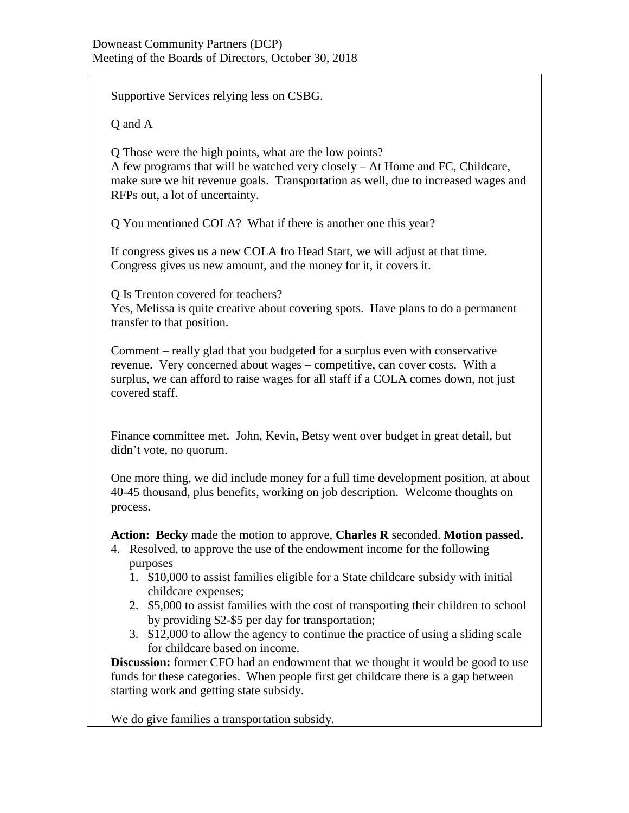Supportive Services relying less on CSBG.

Q and A

Q Those were the high points, what are the low points?

A few programs that will be watched very closely – At Home and FC, Childcare, make sure we hit revenue goals. Transportation as well, due to increased wages and RFPs out, a lot of uncertainty.

Q You mentioned COLA? What if there is another one this year?

If congress gives us a new COLA fro Head Start, we will adjust at that time. Congress gives us new amount, and the money for it, it covers it.

Q Is Trenton covered for teachers?

Yes, Melissa is quite creative about covering spots. Have plans to do a permanent transfer to that position.

Comment – really glad that you budgeted for a surplus even with conservative revenue. Very concerned about wages – competitive, can cover costs. With a surplus, we can afford to raise wages for all staff if a COLA comes down, not just covered staff.

Finance committee met. John, Kevin, Betsy went over budget in great detail, but didn't vote, no quorum.

One more thing, we did include money for a full time development position, at about 40-45 thousand, plus benefits, working on job description. Welcome thoughts on process.

**Action: Becky** made the motion to approve, **Charles R** seconded. **Motion passed.**

- 4. Resolved, to approve the use of the endowment income for the following purposes
	- 1. \$10,000 to assist families eligible for a State childcare subsidy with initial childcare expenses;
	- 2. \$5,000 to assist families with the cost of transporting their children to school by providing \$2-\$5 per day for transportation;
	- 3. \$12,000 to allow the agency to continue the practice of using a sliding scale for childcare based on income.

**Discussion:** former CFO had an endowment that we thought it would be good to use funds for these categories. When people first get childcare there is a gap between starting work and getting state subsidy.

We do give families a transportation subsidy.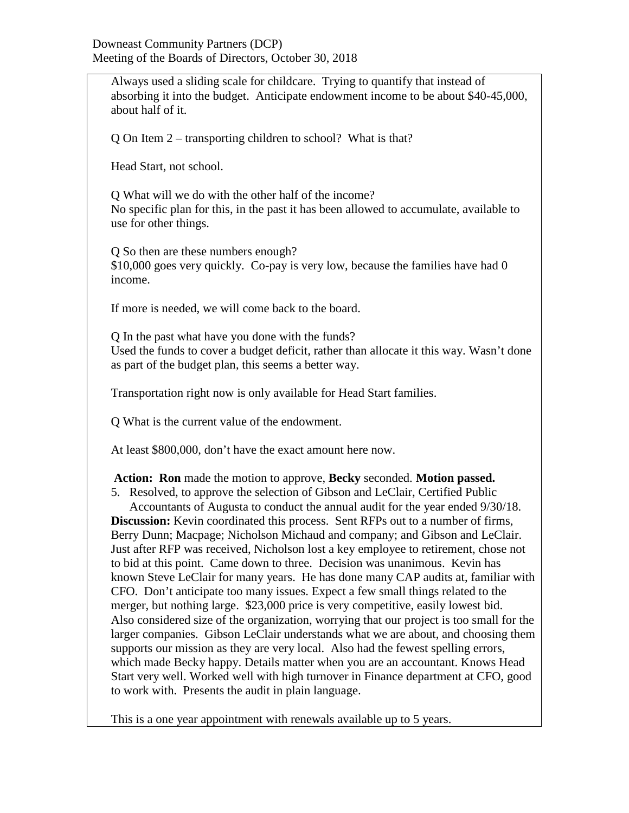Always used a sliding scale for childcare. Trying to quantify that instead of absorbing it into the budget. Anticipate endowment income to be about \$40-45,000, about half of it.

Q On Item 2 – transporting children to school? What is that?

Head Start, not school.

Q What will we do with the other half of the income? No specific plan for this, in the past it has been allowed to accumulate, available to use for other things.

Q So then are these numbers enough? \$10,000 goes very quickly. Co-pay is very low, because the families have had 0 income.

If more is needed, we will come back to the board.

Q In the past what have you done with the funds? Used the funds to cover a budget deficit, rather than allocate it this way. Wasn't done as part of the budget plan, this seems a better way.

Transportation right now is only available for Head Start families.

Q What is the current value of the endowment.

At least \$800,000, don't have the exact amount here now.

**Action: Ron** made the motion to approve, **Becky** seconded. **Motion passed.**

5. Resolved, to approve the selection of Gibson and LeClair, Certified Public Accountants of Augusta to conduct the annual audit for the year ended 9/30/18. **Discussion:** Kevin coordinated this process. Sent RFPs out to a number of firms, Berry Dunn; Macpage; Nicholson Michaud and company; and Gibson and LeClair. Just after RFP was received, Nicholson lost a key employee to retirement, chose not to bid at this point. Came down to three. Decision was unanimous. Kevin has known Steve LeClair for many years. He has done many CAP audits at, familiar with CFO. Don't anticipate too many issues. Expect a few small things related to the merger, but nothing large. \$23,000 price is very competitive, easily lowest bid. Also considered size of the organization, worrying that our project is too small for the larger companies. Gibson LeClair understands what we are about, and choosing them supports our mission as they are very local. Also had the fewest spelling errors, which made Becky happy. Details matter when you are an accountant. Knows Head Start very well. Worked well with high turnover in Finance department at CFO, good to work with. Presents the audit in plain language.

This is a one year appointment with renewals available up to 5 years.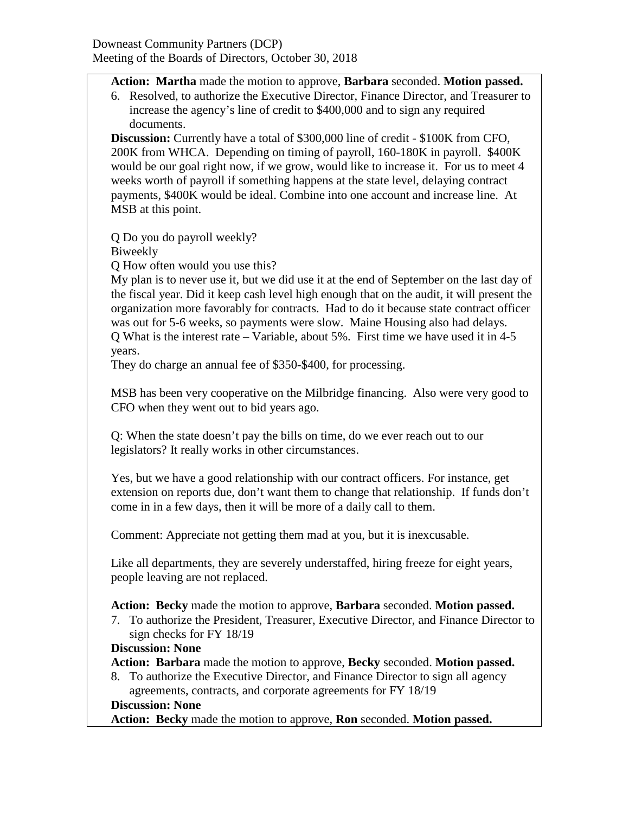## **Action: Martha** made the motion to approve, **Barbara** seconded. **Motion passed.**

6. Resolved, to authorize the Executive Director, Finance Director, and Treasurer to increase the agency's line of credit to \$400,000 and to sign any required documents.

**Discussion:** Currently have a total of \$300,000 line of credit - \$100K from CFO, 200K from WHCA. Depending on timing of payroll, 160-180K in payroll. \$400K would be our goal right now, if we grow, would like to increase it. For us to meet 4 weeks worth of payroll if something happens at the state level, delaying contract payments, \$400K would be ideal. Combine into one account and increase line. At MSB at this point.

Q Do you do payroll weekly? Biweekly

Q How often would you use this?

My plan is to never use it, but we did use it at the end of September on the last day of the fiscal year. Did it keep cash level high enough that on the audit, it will present the organization more favorably for contracts. Had to do it because state contract officer was out for 5-6 weeks, so payments were slow. Maine Housing also had delays. Q What is the interest rate – Variable, about 5%. First time we have used it in 4-5 years.

They do charge an annual fee of \$350-\$400, for processing.

MSB has been very cooperative on the Milbridge financing. Also were very good to CFO when they went out to bid years ago.

Q: When the state doesn't pay the bills on time, do we ever reach out to our legislators? It really works in other circumstances.

Yes, but we have a good relationship with our contract officers. For instance, get extension on reports due, don't want them to change that relationship. If funds don't come in in a few days, then it will be more of a daily call to them.

Comment: Appreciate not getting them mad at you, but it is inexcusable.

Like all departments, they are severely understaffed, hiring freeze for eight years, people leaving are not replaced.

**Action: Becky** made the motion to approve, **Barbara** seconded. **Motion passed.**

7. To authorize the President, Treasurer, Executive Director, and Finance Director to sign checks for FY 18/19

## **Discussion: None**

**Action: Barbara** made the motion to approve, **Becky** seconded. **Motion passed.**

8. To authorize the Executive Director, and Finance Director to sign all agency agreements, contracts, and corporate agreements for FY 18/19

## **Discussion: None**

**Action: Becky** made the motion to approve, **Ron** seconded. **Motion passed.**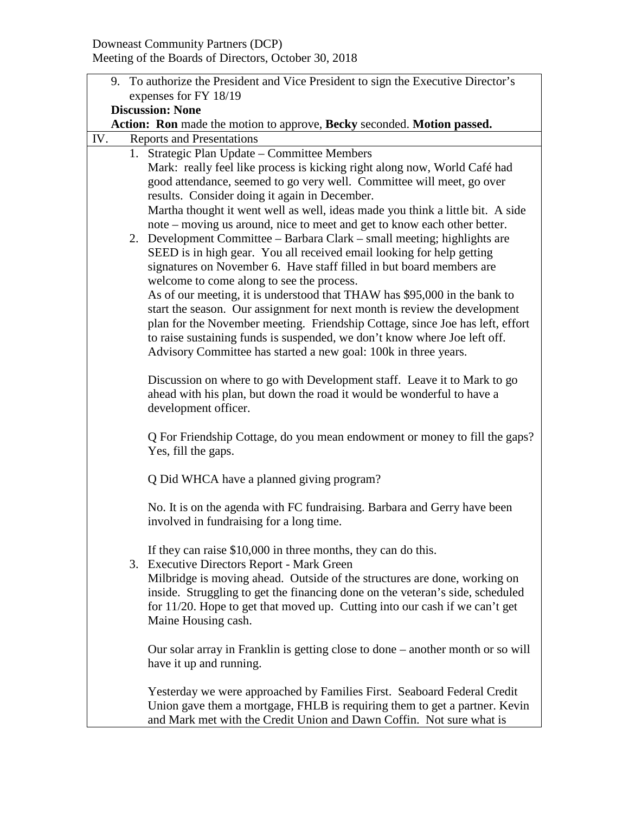| 9. To authorize the President and Vice President to sign the Executive Director's |                                                                                                                                                            |  |  |  |  |  |
|-----------------------------------------------------------------------------------|------------------------------------------------------------------------------------------------------------------------------------------------------------|--|--|--|--|--|
| expenses for FY 18/19                                                             |                                                                                                                                                            |  |  |  |  |  |
| <b>Discussion: None</b>                                                           |                                                                                                                                                            |  |  |  |  |  |
| Action: Ron made the motion to approve, Becky seconded. Motion passed.            |                                                                                                                                                            |  |  |  |  |  |
|                                                                                   | IV.<br><b>Reports and Presentations</b>                                                                                                                    |  |  |  |  |  |
|                                                                                   | 1. Strategic Plan Update – Committee Members                                                                                                               |  |  |  |  |  |
|                                                                                   | Mark: really feel like process is kicking right along now, World Café had<br>good attendance, seemed to go very well. Committee will meet, go over         |  |  |  |  |  |
|                                                                                   | results. Consider doing it again in December.                                                                                                              |  |  |  |  |  |
|                                                                                   | Martha thought it went well as well, ideas made you think a little bit. A side                                                                             |  |  |  |  |  |
|                                                                                   | note – moving us around, nice to meet and get to know each other better.                                                                                   |  |  |  |  |  |
|                                                                                   | 2. Development Committee - Barbara Clark - small meeting; highlights are                                                                                   |  |  |  |  |  |
|                                                                                   | SEED is in high gear. You all received email looking for help getting                                                                                      |  |  |  |  |  |
|                                                                                   | signatures on November 6. Have staff filled in but board members are                                                                                       |  |  |  |  |  |
|                                                                                   | welcome to come along to see the process.                                                                                                                  |  |  |  |  |  |
|                                                                                   | As of our meeting, it is understood that THAW has \$95,000 in the bank to                                                                                  |  |  |  |  |  |
|                                                                                   | start the season. Our assignment for next month is review the development                                                                                  |  |  |  |  |  |
|                                                                                   | plan for the November meeting. Friendship Cottage, since Joe has left, effort<br>to raise sustaining funds is suspended, we don't know where Joe left off. |  |  |  |  |  |
|                                                                                   | Advisory Committee has started a new goal: 100k in three years.                                                                                            |  |  |  |  |  |
|                                                                                   |                                                                                                                                                            |  |  |  |  |  |
|                                                                                   | Discussion on where to go with Development staff. Leave it to Mark to go                                                                                   |  |  |  |  |  |
|                                                                                   | ahead with his plan, but down the road it would be wonderful to have a                                                                                     |  |  |  |  |  |
|                                                                                   | development officer.                                                                                                                                       |  |  |  |  |  |
|                                                                                   | Q For Friendship Cottage, do you mean endowment or money to fill the gaps?                                                                                 |  |  |  |  |  |
|                                                                                   | Yes, fill the gaps.                                                                                                                                        |  |  |  |  |  |
|                                                                                   | Q Did WHCA have a planned giving program?                                                                                                                  |  |  |  |  |  |
|                                                                                   |                                                                                                                                                            |  |  |  |  |  |
|                                                                                   | No. It is on the agenda with FC fundraising. Barbara and Gerry have been                                                                                   |  |  |  |  |  |
|                                                                                   | involved in fundraising for a long time.                                                                                                                   |  |  |  |  |  |
|                                                                                   | If they can raise \$10,000 in three months, they can do this.                                                                                              |  |  |  |  |  |
|                                                                                   | 3. Executive Directors Report - Mark Green                                                                                                                 |  |  |  |  |  |
|                                                                                   | Milbridge is moving ahead. Outside of the structures are done, working on                                                                                  |  |  |  |  |  |
|                                                                                   | inside. Struggling to get the financing done on the veteran's side, scheduled                                                                              |  |  |  |  |  |
|                                                                                   | for 11/20. Hope to get that moved up. Cutting into our cash if we can't get                                                                                |  |  |  |  |  |
|                                                                                   | Maine Housing cash.                                                                                                                                        |  |  |  |  |  |
|                                                                                   |                                                                                                                                                            |  |  |  |  |  |
|                                                                                   | Our solar array in Franklin is getting close to done – another month or so will<br>have it up and running.                                                 |  |  |  |  |  |
|                                                                                   |                                                                                                                                                            |  |  |  |  |  |
|                                                                                   | Yesterday we were approached by Families First. Seaboard Federal Credit                                                                                    |  |  |  |  |  |
|                                                                                   | Union gave them a mortgage, FHLB is requiring them to get a partner. Kevin                                                                                 |  |  |  |  |  |
|                                                                                   | and Mark met with the Credit Union and Dawn Coffin. Not sure what is                                                                                       |  |  |  |  |  |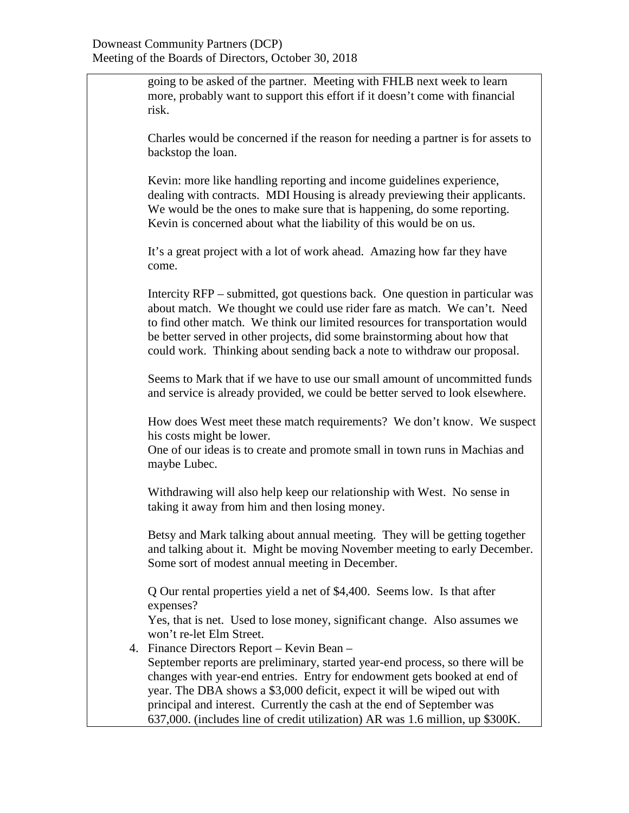going to be asked of the partner. Meeting with FHLB next week to learn more, probably want to support this effort if it doesn't come with financial risk.

Charles would be concerned if the reason for needing a partner is for assets to backstop the loan.

Kevin: more like handling reporting and income guidelines experience, dealing with contracts. MDI Housing is already previewing their applicants. We would be the ones to make sure that is happening, do some reporting. Kevin is concerned about what the liability of this would be on us.

It's a great project with a lot of work ahead. Amazing how far they have come.

Intercity RFP – submitted, got questions back. One question in particular was about match. We thought we could use rider fare as match. We can't. Need to find other match. We think our limited resources for transportation would be better served in other projects, did some brainstorming about how that could work. Thinking about sending back a note to withdraw our proposal.

Seems to Mark that if we have to use our small amount of uncommitted funds and service is already provided, we could be better served to look elsewhere.

How does West meet these match requirements? We don't know. We suspect his costs might be lower.

One of our ideas is to create and promote small in town runs in Machias and maybe Lubec.

Withdrawing will also help keep our relationship with West. No sense in taking it away from him and then losing money.

Betsy and Mark talking about annual meeting. They will be getting together and talking about it. Might be moving November meeting to early December. Some sort of modest annual meeting in December.

Q Our rental properties yield a net of \$4,400. Seems low. Is that after expenses?

Yes, that is net. Used to lose money, significant change. Also assumes we won't re-let Elm Street.

4. Finance Directors Report – Kevin Bean – September reports are preliminary, started year-end process, so there will be changes with year-end entries. Entry for endowment gets booked at end of year. The DBA shows a \$3,000 deficit, expect it will be wiped out with principal and interest. Currently the cash at the end of September was 637,000. (includes line of credit utilization) AR was 1.6 million, up \$300K.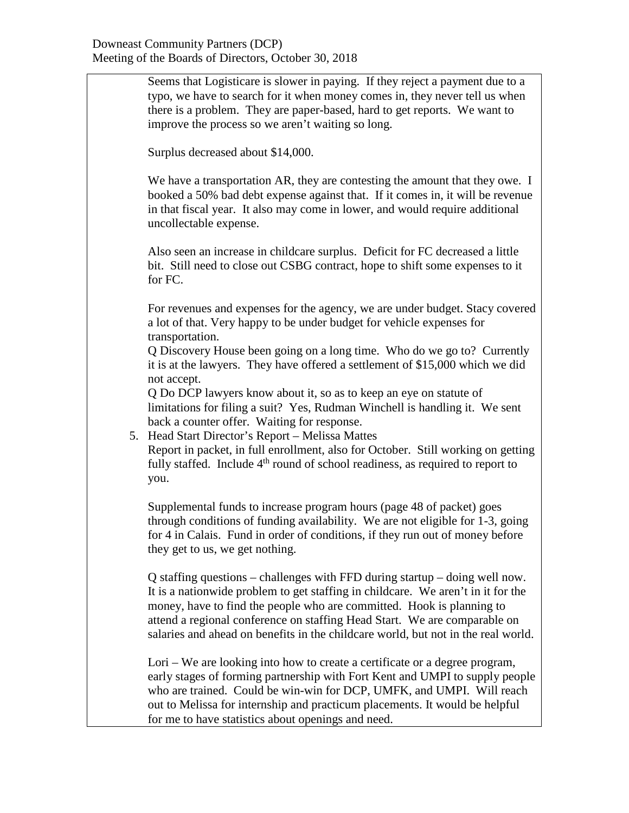Seems that Logisticare is slower in paying. If they reject a payment due to a typo, we have to search for it when money comes in, they never tell us when there is a problem. They are paper-based, hard to get reports. We want to improve the process so we aren't waiting so long. Surplus decreased about \$14,000. We have a transportation AR, they are contesting the amount that they owe. I booked a 50% bad debt expense against that. If it comes in, it will be revenue in that fiscal year. It also may come in lower, and would require additional uncollectable expense. Also seen an increase in childcare surplus. Deficit for FC decreased a little bit. Still need to close out CSBG contract, hope to shift some expenses to it for FC. For revenues and expenses for the agency, we are under budget. Stacy covered a lot of that. Very happy to be under budget for vehicle expenses for transportation. Q Discovery House been going on a long time. Who do we go to? Currently it is at the lawyers. They have offered a settlement of \$15,000 which we did not accept. Q Do DCP lawyers know about it, so as to keep an eye on statute of limitations for filing a suit? Yes, Rudman Winchell is handling it. We sent back a counter offer. Waiting for response. 5. Head Start Director's Report – Melissa Mattes Report in packet, in full enrollment, also for October. Still working on getting fully staffed. Include 4<sup>th</sup> round of school readiness, as required to report to you. Supplemental funds to increase program hours (page 48 of packet) goes through conditions of funding availability. We are not eligible for 1-3, going for 4 in Calais. Fund in order of conditions, if they run out of money before they get to us, we get nothing. Q staffing questions – challenges with FFD during startup – doing well now. It is a nationwide problem to get staffing in childcare. We aren't in it for the money, have to find the people who are committed. Hook is planning to attend a regional conference on staffing Head Start. We are comparable on salaries and ahead on benefits in the childcare world, but not in the real world. Lori – We are looking into how to create a certificate or a degree program, early stages of forming partnership with Fort Kent and UMPI to supply people who are trained. Could be win-win for DCP, UMFK, and UMPI. Will reach out to Melissa for internship and practicum placements. It would be helpful for me to have statistics about openings and need.